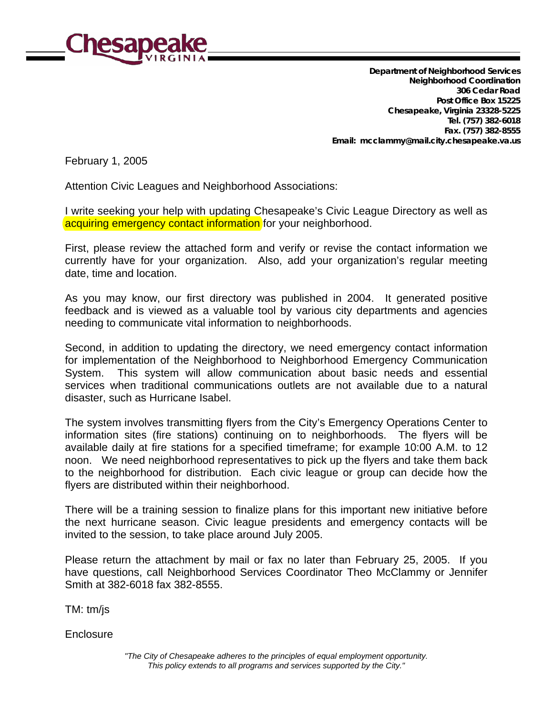

 **Department of Neighborhood Services Neighborhood Coordination 306 Cedar Road Post Office Box 15225 Chesapeake, Virginia 23328-5225 Tel. (757) 382-6018 Fax. (757) 382-8555 Email: mcclammy@mail.city.chesapeake.va.us**

February 1, 2005

Attention Civic Leagues and Neighborhood Associations:

I write seeking your help with updating Chesapeake's Civic League Directory as well as acquiring emergency contact information for your neighborhood.

First, please review the attached form and verify or revise the contact information we currently have for your organization. Also, add your organization's regular meeting date, time and location.

As you may know, our first directory was published in 2004. It generated positive feedback and is viewed as a valuable tool by various city departments and agencies needing to communicate vital information to neighborhoods.

Second, in addition to updating the directory, we need emergency contact information for implementation of the Neighborhood to Neighborhood Emergency Communication System. This system will allow communication about basic needs and essential services when traditional communications outlets are not available due to a natural disaster, such as Hurricane Isabel.

The system involves transmitting flyers from the City's Emergency Operations Center to information sites (fire stations) continuing on to neighborhoods. The flyers will be available daily at fire stations for a specified timeframe; for example 10:00 A.M. to 12 noon. We need neighborhood representatives to pick up the flyers and take them back to the neighborhood for distribution. Each civic league or group can decide how the flyers are distributed within their neighborhood.

There will be a training session to finalize plans for this important new initiative before the next hurricane season. Civic league presidents and emergency contacts will be invited to the session, to take place around July 2005.

Please return the attachment by mail or fax no later than February 25, 2005. If you have questions, call Neighborhood Services Coordinator Theo McClammy or Jennifer Smith at 382-6018 fax 382-8555.

TM: tm/js

**Enclosure**